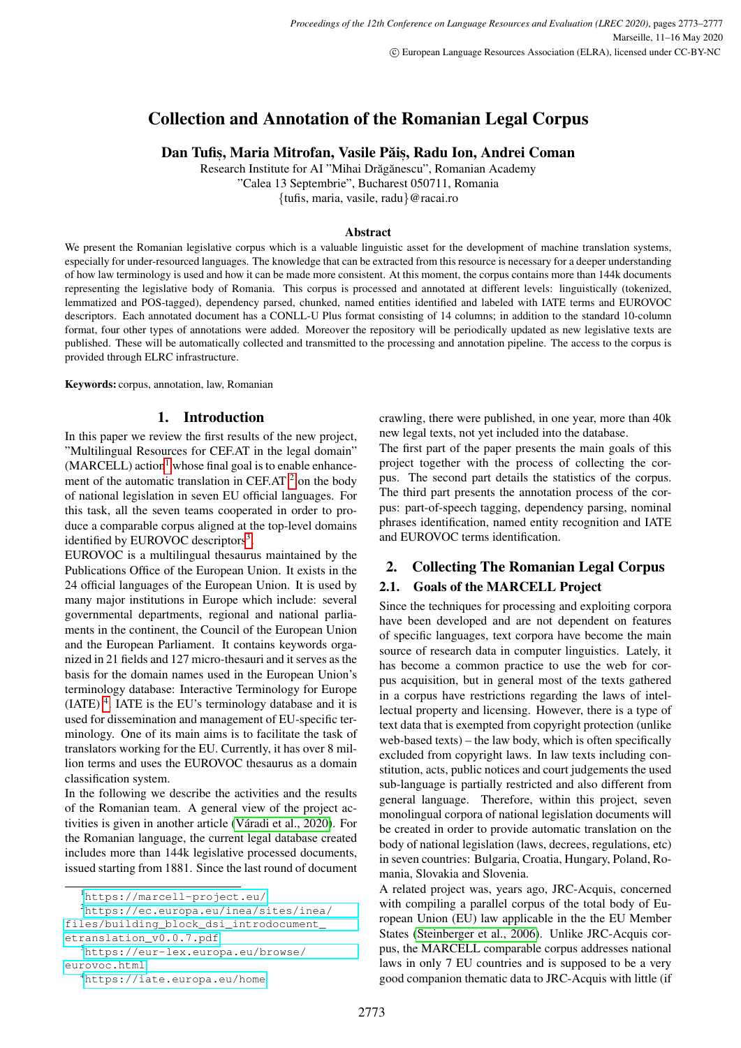# Collection and Annotation of the Romanian Legal Corpus

Dan Tufiș, Maria Mitrofan, Vasile Păiș, Radu Ion, Andrei Coman

Research Institute for AI "Mihai Drăgănescu", Romanian Academy "Calea 13 Septembrie", Bucharest 050711, Romania

{tufis, maria, vasile, radu}@racai.ro

#### Abstract

We present the Romanian legislative corpus which is a valuable linguistic asset for the development of machine translation systems, especially for under-resourced languages. The knowledge that can be extracted from this resource is necessary for a deeper understanding of how law terminology is used and how it can be made more consistent. At this moment, the corpus contains more than 144k documents representing the legislative body of Romania. This corpus is processed and annotated at different levels: linguistically (tokenized, lemmatized and POS-tagged), dependency parsed, chunked, named entities identified and labeled with IATE terms and EUROVOC descriptors. Each annotated document has a CONLL-U Plus format consisting of 14 columns; in addition to the standard 10-column format, four other types of annotations were added. Moreover the repository will be periodically updated as new legislative texts are published. These will be automatically collected and transmitted to the processing and annotation pipeline. The access to the corpus is provided through ELRC infrastructure.

Keywords: corpus, annotation, law, Romanian

## 1. Introduction

In this paper we review the first results of the new project, "Multilingual Resources for CEF.AT in the legal domain"  $(MARCELL)$  action<sup>[1](#page-0-0)</sup> whose final goal is to enable enhancement of the automatic translation in CEF.AT  $2$  on the body of national legislation in seven EU official languages. For this task, all the seven teams cooperated in order to produce a comparable corpus aligned at the top-level domains identified by EUROVOC descriptors<sup>[3](#page-0-2)</sup>.

EUROVOC is a multilingual thesaurus maintained by the Publications Office of the European Union. It exists in the 24 official languages of the European Union. It is used by many major institutions in Europe which include: several governmental departments, regional and national parliaments in the continent, the Council of the European Union and the European Parliament. It contains keywords organized in 21 fields and 127 micro-thesauri and it serves as the basis for the domain names used in the European Union's terminology database: Interactive Terminology for Europe  $(IATE)^4$  $(IATE)^4$ . IATE is the EU's terminology database and it is used for dissemination and management of EU-specific terminology. One of its main aims is to facilitate the task of translators working for the EU. Currently, it has over 8 million terms and uses the EUROVOC thesaurus as a domain classification system.

In the following we describe the activities and the results of the Romanian team. A general view of the project activities is given in another article (Váradi et al., 2020). For the Romanian language, the current legal database created includes more than 144k legislative processed documents, issued starting from 1881. Since the last round of document

[files/building\\_block\\_dsi\\_introdocument\\_](https://ec.europa.eu/inea/sites/inea/files/building_block_dsi_introdocument_etranslation_v0.0.7.pdf) [etranslation\\_v0.0.7.pdf](https://ec.europa.eu/inea/sites/inea/files/building_block_dsi_introdocument_etranslation_v0.0.7.pdf)

crawling, there were published, in one year, more than 40k new legal texts, not yet included into the database.

The first part of the paper presents the main goals of this project together with the process of collecting the corpus. The second part details the statistics of the corpus. The third part presents the annotation process of the corpus: part-of-speech tagging, dependency parsing, nominal phrases identification, named entity recognition and IATE and EUROVOC terms identification.

# 2. Collecting The Romanian Legal Corpus

# 2.1. Goals of the MARCELL Project

Since the techniques for processing and exploiting corpora have been developed and are not dependent on features of specific languages, text corpora have become the main source of research data in computer linguistics. Lately, it has become a common practice to use the web for corpus acquisition, but in general most of the texts gathered in a corpus have restrictions regarding the laws of intellectual property and licensing. However, there is a type of text data that is exempted from copyright protection (unlike web-based texts) – the law body, which is often specifically excluded from copyright laws. In law texts including constitution, acts, public notices and court judgements the used sub-language is partially restricted and also different from general language. Therefore, within this project, seven monolingual corpora of national legislation documents will be created in order to provide automatic translation on the body of national legislation (laws, decrees, regulations, etc) in seven countries: Bulgaria, Croatia, Hungary, Poland, Romania, Slovakia and Slovenia.

A related project was, years ago, JRC-Acquis, concerned with compiling a parallel corpus of the total body of European Union (EU) law applicable in the the EU Member States [\(Steinberger et al., 2006\)](#page-4-1). Unlike JRC-Acquis corpus, the MARCELL comparable corpus addresses national laws in only 7 EU countries and is supposed to be a very good companion thematic data to JRC-Acquis with little (if

<span id="page-0-1"></span><span id="page-0-0"></span><sup>1</sup><https://marcell-project.eu/>

<sup>2</sup>[https://ec.europa.eu/inea/sites/inea/](https://ec.europa.eu/inea/sites/inea/files/building_block_dsi_introdocument_etranslation_v0.0.7.pdf)

<span id="page-0-2"></span><sup>3</sup>[https://eur-lex.europa.eu/browse/](https://eur-lex.europa.eu/browse/eurovoc.html) [eurovoc.html](https://eur-lex.europa.eu/browse/eurovoc.html)

<span id="page-0-3"></span><sup>4</sup><https://iate.europa.eu/home>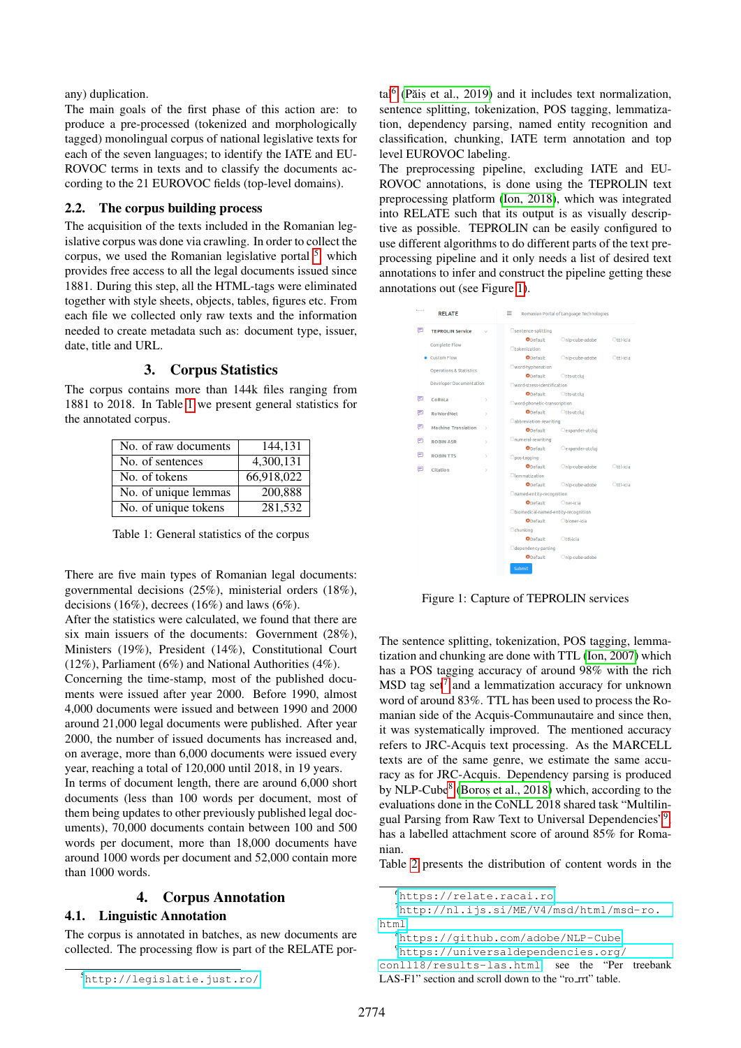any) duplication.

The main goals of the first phase of this action are: to produce a pre-processed (tokenized and morphologically tagged) monolingual corpus of national legislative texts for each of the seven languages; to identify the IATE and EU-ROVOC terms in texts and to classify the documents according to the 21 EUROVOC fields (top-level domains).

#### 2.2. The corpus building process

The acquisition of the texts included in the Romanian legislative corpus was done via crawling. In order to collect the corpus, we used the Romanian legislative portal  $5$ , which provides free access to all the legal documents issued since 1881. During this step, all the HTML-tags were eliminated together with style sheets, objects, tables, figures etc. From each file we collected only raw texts and the information needed to create metadata such as: document type, issuer, date, title and URL.

## 3. Corpus Statistics

The corpus contains more than 144k files ranging from 1881 to 2018. In Table [1](#page-1-1) we present general statistics for the annotated corpus.

| No. of raw documents | 144,131    |
|----------------------|------------|
| No. of sentences     | 4,300,131  |
| No. of tokens        | 66,918,022 |
| No. of unique lemmas | 200.888    |
| No. of unique tokens | 281,532    |

<span id="page-1-1"></span>Table 1: General statistics of the corpus

There are five main types of Romanian legal documents: governmental decisions (25%), ministerial orders (18%), decisions (16%), decrees (16%) and laws (6%).

After the statistics were calculated, we found that there are six main issuers of the documents: Government (28%), Ministers (19%), President (14%), Constitutional Court (12%), Parliament (6%) and National Authorities (4%).

Concerning the time-stamp, most of the published documents were issued after year 2000. Before 1990, almost 4,000 documents were issued and between 1990 and 2000 around 21,000 legal documents were published. After year 2000, the number of issued documents has increased and, on average, more than 6,000 documents were issued every year, reaching a total of 120,000 until 2018, in 19 years.

In terms of document length, there are around 6,000 short documents (less than 100 words per document, most of them being updates to other previously published legal documents), 70,000 documents contain between 100 and 500 words per document, more than 18,000 documents have around 1000 words per document and 52,000 contain more than 1000 words.

## 4. Corpus Annotation

#### 4.1. Linguistic Annotation

The corpus is annotated in batches, as new documents are collected. The processing flow is part of the RELATE por-

tal<sup>[6](#page-1-2)</sup> (Păiș [et al., 2019\)](#page-4-2) and it includes text normalization, sentence splitting, tokenization, POS tagging, lemmatization, dependency parsing, named entity recognition and classification, chunking, IATE term annotation and top level EUROVOC labeling.

The preprocessing pipeline, excluding IATE and EU-ROVOC annotations, is done using the TEPROLIN text preprocessing platform [\(Ion, 2018\)](#page-4-3), which was integrated into RELATE such that its output is as visually descriptive as possible. TEPROLIN can be easily configured to use different algorithms to do different parts of the text preprocessing pipeline and it only needs a list of desired text annotations to infer and construct the pipeline getting these annotations out (see Figure [1\)](#page-1-3).



<span id="page-1-3"></span>Figure 1: Capture of TEPROLIN services

The sentence splitting, tokenization, POS tagging, lemmatization and chunking are done with TTL [\(Ion, 2007\)](#page-4-4) which has a POS tagging accuracy of around 98% with the rich  $MSD$  tag set<sup>[7](#page-1-4)</sup> and a lemmatization accuracy for unknown word of around 83%. TTL has been used to process the Romanian side of the Acquis-Communautaire and since then, it was systematically improved. The mentioned accuracy refers to JRC-Acquis text processing. As the MARCELL texts are of the same genre, we estimate the same accuracy as for JRC-Acquis. Dependency parsing is produced by NLP-Cube<sup>[8](#page-1-5)</sup> (Boros [et al., 2018\)](#page-3-0) which, according to the evaluations done in the CoNLL 2018 shared task "Multilin-gual Parsing from Raw Text to Universal Dependencies"[9](#page-1-6), has a labelled attachment score of around 85% for Romanian.

Table [2](#page-2-0) presents the distribution of content words in the

<span id="page-1-0"></span><sup>5</sup><http://legislatie.just.ro/>

<span id="page-1-4"></span><span id="page-1-2"></span><sup>6</sup><https://relate.racai.ro>

<sup>7</sup>[http://nl.ijs.si/ME/V4/msd/html/msd-ro.](http://nl.ijs.si/ME/V4/msd/html/msd-ro.html) [html](http://nl.ijs.si/ME/V4/msd/html/msd-ro.html)

<span id="page-1-5"></span><sup>8</sup><https://github.com/adobe/NLP-Cube>

<span id="page-1-6"></span><sup>9</sup>[https://universaldependencies.org/](https://universaldependencies.org/conll18/results-las.html)

[conll18/results-las.html](https://universaldependencies.org/conll18/results-las.html), see the "Per treebank LAS-F1" section and scroll down to the "ro\_rrt" table.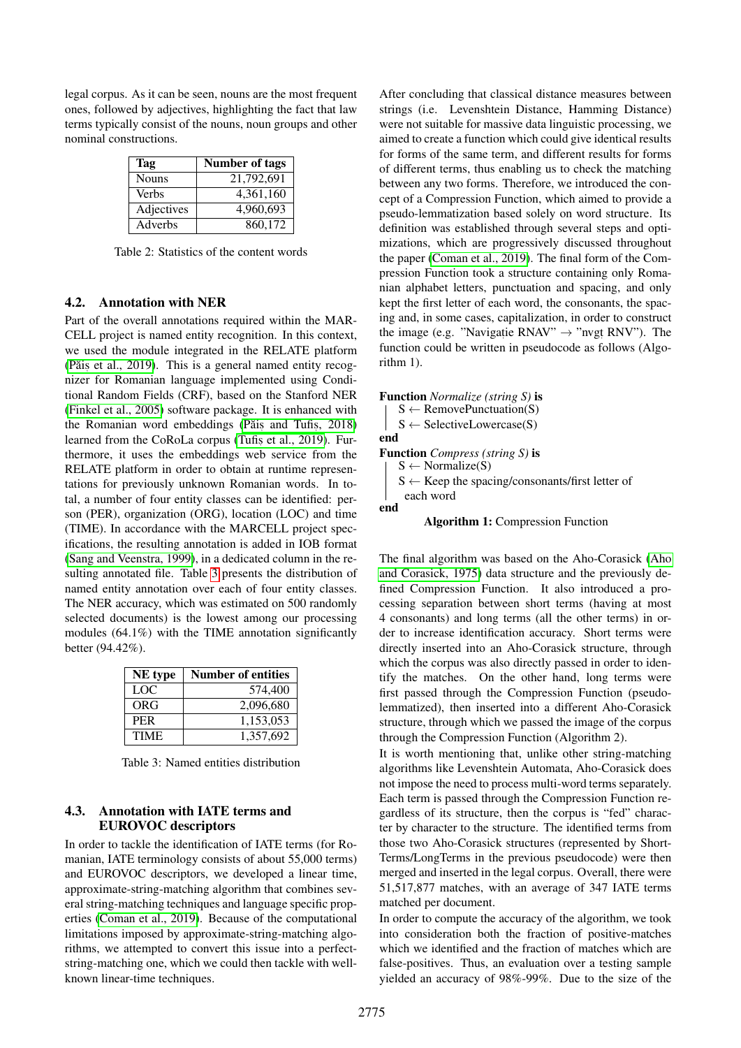legal corpus. As it can be seen, nouns are the most frequent ones, followed by adjectives, highlighting the fact that law terms typically consist of the nouns, noun groups and other nominal constructions.

| Tag          | Number of tags |
|--------------|----------------|
| <b>Nouns</b> | 21,792,691     |
| <b>Verbs</b> | 4,361,160      |
| Adjectives   | 4,960,693      |
| Adverbs      | 860,172        |

<span id="page-2-0"></span>Table 2: Statistics of the content words

#### 4.2. Annotation with NER

Part of the overall annotations required within the MAR-CELL project is named entity recognition. In this context, we used the module integrated in the RELATE platform (Păis [et al., 2019\)](#page-4-2). This is a general named entity recognizer for Romanian language implemented using Conditional Random Fields (CRF), based on the Stanford NER [\(Finkel et al., 2005\)](#page-4-5) software package. It is enhanced with the Romanian word embeddings (Păiș and Tufiș, 2018) learned from the CoRoLa corpus (Tufis [et al., 2019\)](#page-4-7). Furthermore, it uses the embeddings web service from the RELATE platform in order to obtain at runtime representations for previously unknown Romanian words. In total, a number of four entity classes can be identified: person (PER), organization (ORG), location (LOC) and time (TIME). In accordance with the MARCELL project specifications, the resulting annotation is added in IOB format [\(Sang and Veenstra, 1999\)](#page-4-8), in a dedicated column in the resulting annotated file. Table [3](#page-2-1) presents the distribution of named entity annotation over each of four entity classes. The NER accuracy, which was estimated on 500 randomly selected documents) is the lowest among our processing modules (64.1%) with the TIME annotation significantly better (94.42%).

| NE type     | <b>Number of entities</b> |
|-------------|---------------------------|
| LOC.        | 574,400                   |
| ORG         | 2,096,680                 |
| <b>PER</b>  | 1,153,053                 |
| <b>TIME</b> | 1,357,692                 |

<span id="page-2-1"></span>Table 3: Named entities distribution

## 4.3. Annotation with IATE terms and EUROVOC descriptors

In order to tackle the identification of IATE terms (for Romanian, IATE terminology consists of about 55,000 terms) and EUROVOC descriptors, we developed a linear time, approximate-string-matching algorithm that combines several string-matching techniques and language specific properties [\(Coman et al., 2019\)](#page-4-9). Because of the computational limitations imposed by approximate-string-matching algorithms, we attempted to convert this issue into a perfectstring-matching one, which we could then tackle with wellknown linear-time techniques.

After concluding that classical distance measures between strings (i.e. Levenshtein Distance, Hamming Distance) were not suitable for massive data linguistic processing, we aimed to create a function which could give identical results for forms of the same term, and different results for forms of different terms, thus enabling us to check the matching between any two forms. Therefore, we introduced the concept of a Compression Function, which aimed to provide a pseudo-lemmatization based solely on word structure. Its definition was established through several steps and optimizations, which are progressively discussed throughout the paper [\(Coman et al., 2019\)](#page-4-9). The final form of the Compression Function took a structure containing only Romanian alphabet letters, punctuation and spacing, and only kept the first letter of each word, the consonants, the spacing and, in some cases, capitalization, in order to construct the image (e.g. "Navigatie RNAV"  $\rightarrow$  "nvgt RNV"). The function could be written in pseudocode as follows (Algorithm 1).

Function *Normalize (string S)* is  $S \leftarrow$  RemovePunctuation(S)  $S \leftarrow$  SelectiveLowercase(S) end Function *Compress (string S)* is  $S \leftarrow \text{Normalize}(S)$  $S \leftarrow$  Keep the spacing/consonants/first letter of each word end

# Algorithm 1: Compression Function

The final algorithm was based on the Aho-Corasick [\(Aho](#page-3-1) [and Corasick, 1975\)](#page-3-1) data structure and the previously defined Compression Function. It also introduced a processing separation between short terms (having at most 4 consonants) and long terms (all the other terms) in order to increase identification accuracy. Short terms were directly inserted into an Aho-Corasick structure, through which the corpus was also directly passed in order to identify the matches. On the other hand, long terms were first passed through the Compression Function (pseudolemmatized), then inserted into a different Aho-Corasick structure, through which we passed the image of the corpus through the Compression Function (Algorithm 2).

It is worth mentioning that, unlike other string-matching algorithms like Levenshtein Automata, Aho-Corasick does not impose the need to process multi-word terms separately. Each term is passed through the Compression Function regardless of its structure, then the corpus is "fed" character by character to the structure. The identified terms from those two Aho-Corasick structures (represented by Short-Terms/LongTerms in the previous pseudocode) were then merged and inserted in the legal corpus. Overall, there were 51,517,877 matches, with an average of 347 IATE terms matched per document.

In order to compute the accuracy of the algorithm, we took into consideration both the fraction of positive-matches which we identified and the fraction of matches which are false-positives. Thus, an evaluation over a testing sample yielded an accuracy of 98%-99%. Due to the size of the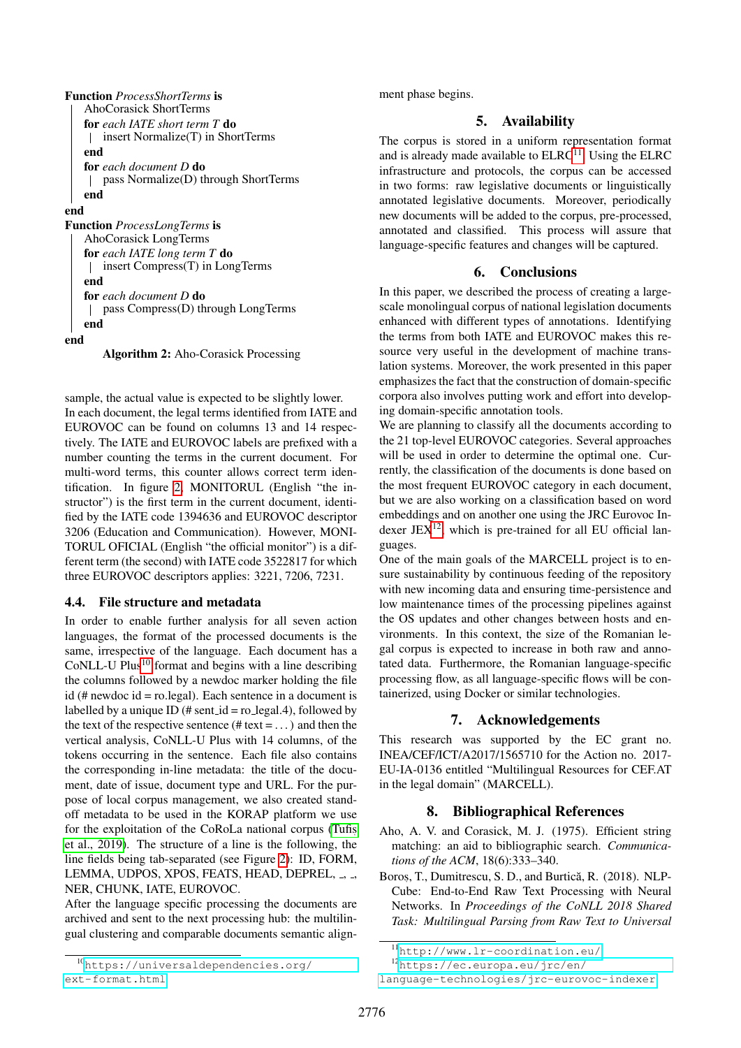| <b>Function</b> <i>ProcessShortTerms</i> is |
|---------------------------------------------|
| AhoCorasick ShortTerms                      |
| <b>for</b> each IATE short term T <b>do</b> |
| insert Normalize(T) in ShortTerms           |
| end                                         |
| <b>for</b> each document D <b>do</b>        |
| pass Normalize(D) through ShortTerms        |
| end                                         |
| end                                         |
| <b>Function</b> <i>ProcessLongTerms</i> is  |
| AhoCorasick LongTerms                       |
| <b>for</b> each IATE long term T <b>do</b>  |
| insert Compress(T) in LongTerms             |
| end                                         |
| <b>for</b> each document D <b>do</b>        |
|                                             |

#### pass Compress(D) through LongTerms end

# end

Algorithm 2: Aho-Corasick Processing

sample, the actual value is expected to be slightly lower. In each document, the legal terms identified from IATE and EUROVOC can be found on columns 13 and 14 respectively. The IATE and EUROVOC labels are prefixed with a number counting the terms in the current document. For multi-word terms, this counter allows correct term identification. In figure [2,](#page-4-10) MONITORUL (English "the instructor") is the first term in the current document, identified by the IATE code 1394636 and EUROVOC descriptor 3206 (Education and Communication). However, MONI-TORUL OFICIAL (English "the official monitor") is a different term (the second) with IATE code 3522817 for which three EUROVOC descriptors applies: 3221, 7206, 7231.

## 4.4. File structure and metadata

In order to enable further analysis for all seven action languages, the format of the processed documents is the same, irrespective of the language. Each document has a CoNLL-U Plus<sup>[10](#page-3-2)</sup> format and begins with a line describing the columns followed by a newdoc marker holding the file id (# newdoc id = ro.legal). Each sentence in a document is labelled by a unique ID (# sent\_id = ro\_legal.4), followed by the text of the respective sentence (# $text = ...$ ) and then the vertical analysis, CoNLL-U Plus with 14 columns, of the tokens occurring in the sentence. Each file also contains the corresponding in-line metadata: the title of the document, date of issue, document type and URL. For the purpose of local corpus management, we also created standoff metadata to be used in the KORAP platform we use for the exploitation of the CoRoLa national corpus [\(Tufis](#page-4-7), [et al., 2019\)](#page-4-7). The structure of a line is the following, the line fields being tab-separated (see Figure [2\)](#page-4-10): ID, FORM, LEMMA, UDPOS, XPOS, FEATS, HEAD, DEPREL, ., ., NER, CHUNK, IATE, EUROVOC.

After the language specific processing the documents are archived and sent to the next processing hub: the multilingual clustering and comparable documents semantic alignment phase begins.

# 5. Availability

The corpus is stored in a uniform representation format and is already made available to  $ELRC<sup>11</sup>$  $ELRC<sup>11</sup>$  $ELRC<sup>11</sup>$ . Using the  $ELRC$ infrastructure and protocols, the corpus can be accessed in two forms: raw legislative documents or linguistically annotated legislative documents. Moreover, periodically new documents will be added to the corpus, pre-processed, annotated and classified. This process will assure that language-specific features and changes will be captured.

# 6. Conclusions

In this paper, we described the process of creating a largescale monolingual corpus of national legislation documents enhanced with different types of annotations. Identifying the terms from both IATE and EUROVOC makes this resource very useful in the development of machine translation systems. Moreover, the work presented in this paper emphasizes the fact that the construction of domain-specific corpora also involves putting work and effort into developing domain-specific annotation tools.

We are planning to classify all the documents according to the 21 top-level EUROVOC categories. Several approaches will be used in order to determine the optimal one. Currently, the classification of the documents is done based on the most frequent EUROVOC category in each document, but we are also working on a classification based on word embeddings and on another one using the JRC Eurovoc Indexer JE $X^{12}$  $X^{12}$  $X^{12}$ , which is pre-trained for all EU official languages.

One of the main goals of the MARCELL project is to ensure sustainability by continuous feeding of the repository with new incoming data and ensuring time-persistence and low maintenance times of the processing pipelines against the OS updates and other changes between hosts and environments. In this context, the size of the Romanian legal corpus is expected to increase in both raw and annotated data. Furthermore, the Romanian language-specific processing flow, as all language-specific flows will be containerized, using Docker or similar technologies.

# 7. Acknowledgements

This research was supported by the EC grant no. INEA/CEF/ICT/A2017/1565710 for the Action no. 2017- EU-IA-0136 entitled "Multilingual Resources for CEF.AT in the legal domain" (MARCELL).

# 8. Bibliographical References

- <span id="page-3-1"></span>Aho, A. V. and Corasick, M. J. (1975). Efficient string matching: an aid to bibliographic search. *Communications of the ACM*, 18(6):333–340.
- <span id="page-3-0"></span>Boroș, T., Dumitrescu, S. D., and Burtică, R. (2018). NLP-Cube: End-to-End Raw Text Processing with Neural Networks. In *Proceedings of the CoNLL 2018 Shared Task: Multilingual Parsing from Raw Text to Universal*

<span id="page-3-2"></span><sup>10</sup>[https://universaldependencies.org/](https://universaldependencies.org/ext-format.html) [ext-format.html](https://universaldependencies.org/ext-format.html)

<span id="page-3-3"></span><sup>11</sup><http://www.lr-coordination.eu/>

<span id="page-3-4"></span><sup>12</sup>[https://ec.europa.eu/jrc/en/](https://ec.europa.eu/jrc/en/language-technologies/jrc-eurovoc-indexer)

[language-technologies/jrc-eurovoc-indexer](https://ec.europa.eu/jrc/en/language-technologies/jrc-eurovoc-indexer)